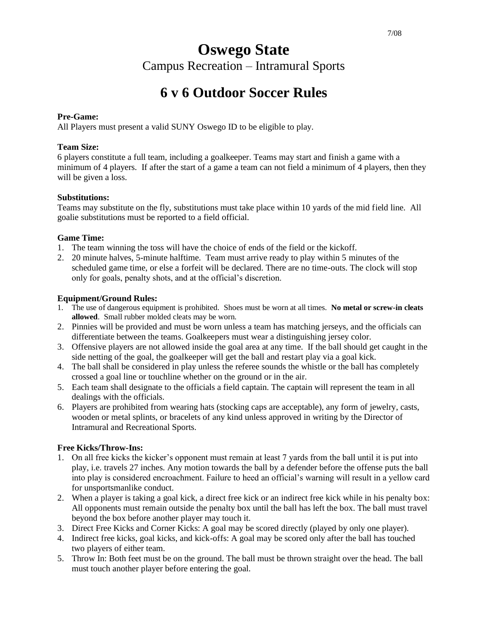#### 7/08

# **Oswego State**

Campus Recreation – Intramural Sports

# **6 v 6 Outdoor Soccer Rules**

#### **Pre-Game:**

All Players must present a valid SUNY Oswego ID to be eligible to play.

#### **Team Size:**

6 players constitute a full team, including a goalkeeper. Teams may start and finish a game with a minimum of 4 players. If after the start of a game a team can not field a minimum of 4 players, then they will be given a loss.

## **Substitutions:**

Teams may substitute on the fly, substitutions must take place within 10 yards of the mid field line. All goalie substitutions must be reported to a field official.

#### **Game Time:**

- 1. The team winning the toss will have the choice of ends of the field or the kickoff.
- 2. 20 minute halves, 5-minute halftime. Team must arrive ready to play within 5 minutes of the scheduled game time, or else a forfeit will be declared. There are no time-outs. The clock will stop only for goals, penalty shots, and at the official's discretion.

## **Equipment/Ground Rules:**

- 1. The use of dangerous equipment is prohibited. Shoes must be worn at all times. **No metal or screw-in cleats allowed**. Small rubber molded cleats may be worn.
- 2. Pinnies will be provided and must be worn unless a team has matching jerseys, and the officials can differentiate between the teams. Goalkeepers must wear a distinguishing jersey color.
- 3. Offensive players are not allowed inside the goal area at any time. If the ball should get caught in the side netting of the goal, the goalkeeper will get the ball and restart play via a goal kick.
- 4. The ball shall be considered in play unless the referee sounds the whistle or the ball has completely crossed a goal line or touchline whether on the ground or in the air.
- 5. Each team shall designate to the officials a field captain. The captain will represent the team in all dealings with the officials.
- 6. Players are prohibited from wearing hats (stocking caps are acceptable), any form of jewelry, casts, wooden or metal splints, or bracelets of any kind unless approved in writing by the Director of Intramural and Recreational Sports.

# **Free Kicks/Throw-Ins:**

- 1. On all free kicks the kicker's opponent must remain at least 7 yards from the ball until it is put into play, i.e. travels 27 inches. Any motion towards the ball by a defender before the offense puts the ball into play is considered encroachment. Failure to heed an official's warning will result in a yellow card for unsportsmanlike conduct.
- 2. When a player is taking a goal kick, a direct free kick or an indirect free kick while in his penalty box: All opponents must remain outside the penalty box until the ball has left the box. The ball must travel beyond the box before another player may touch it.
- 3. Direct Free Kicks and Corner Kicks: A goal may be scored directly (played by only one player).
- 4. Indirect free kicks, goal kicks, and kick-offs: A goal may be scored only after the ball has touched two players of either team.
- 5. Throw In: Both feet must be on the ground. The ball must be thrown straight over the head. The ball must touch another player before entering the goal.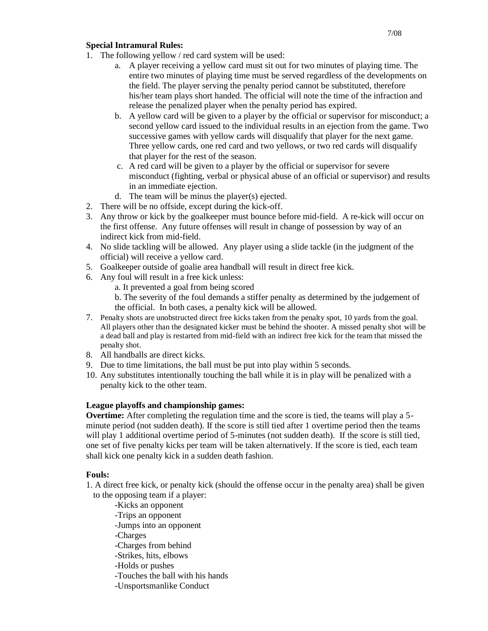#### 7/08

#### **Special Intramural Rules:**

- 1. The following yellow / red card system will be used:
	- a. A player receiving a yellow card must sit out for two minutes of playing time. The entire two minutes of playing time must be served regardless of the developments on the field. The player serving the penalty period cannot be substituted, therefore his/her team plays short handed. The official will note the time of the infraction and release the penalized player when the penalty period has expired.
	- b. A yellow card will be given to a player by the official or supervisor for misconduct; a second yellow card issued to the individual results in an ejection from the game. Two successive games with yellow cards will disqualify that player for the next game. Three yellow cards, one red card and two yellows, or two red cards will disqualify that player for the rest of the season.
	- c. A red card will be given to a player by the official or supervisor for severe misconduct (fighting, verbal or physical abuse of an official or supervisor) and results in an immediate ejection.
	- d. The team will be minus the player(s) ejected.
- 2. There will be no offside, except during the kick-off.
- 3. Any throw or kick by the goalkeeper must bounce before mid-field. A re-kick will occur on the first offense. Any future offenses will result in change of possession by way of an indirect kick from mid-field.
- 4. No slide tackling will be allowed. Any player using a slide tackle (in the judgment of the official) will receive a yellow card.
- 5. Goalkeeper outside of goalie area handball will result in direct free kick.
- 6. Any foul will result in a free kick unless:
	- a. It prevented a goal from being scored
	- b. The severity of the foul demands a stiffer penalty as determined by the judgement of the official. In both cases, a penalty kick will be allowed.
- 7. Penalty shots are unobstructed direct free kicks taken from the penalty spot, 10 yards from the goal. All players other than the designated kicker must be behind the shooter. A missed penalty shot will be a dead ball and play is restarted from mid-field with an indirect free kick for the team that missed the penalty shot.
- 8. All handballs are direct kicks.
- 9. Due to time limitations, the ball must be put into play within 5 seconds.
- 10. Any substitutes intentionally touching the ball while it is in play will be penalized with a penalty kick to the other team.

#### **League playoffs and championship games:**

**Overtime:** After completing the regulation time and the score is tied, the teams will play a 5 minute period (not sudden death). If the score is still tied after 1 overtime period then the teams will play 1 additional overtime period of 5-minutes (not sudden death). If the score is still tied, one set of five penalty kicks per team will be taken alternatively. If the score is tied, each team shall kick one penalty kick in a sudden death fashion.

#### **Fouls:**

- 1. A direct free kick, or penalty kick (should the offense occur in the penalty area) shall be given to the opposing team if a player:
	- -Kicks an opponent
	- -Trips an opponent
	- -Jumps into an opponent
	- -Charges
	- -Charges from behind
	- -Strikes, hits, elbows
	- -Holds or pushes
	- -Touches the ball with his hands
	- -Unsportsmanlike Conduct